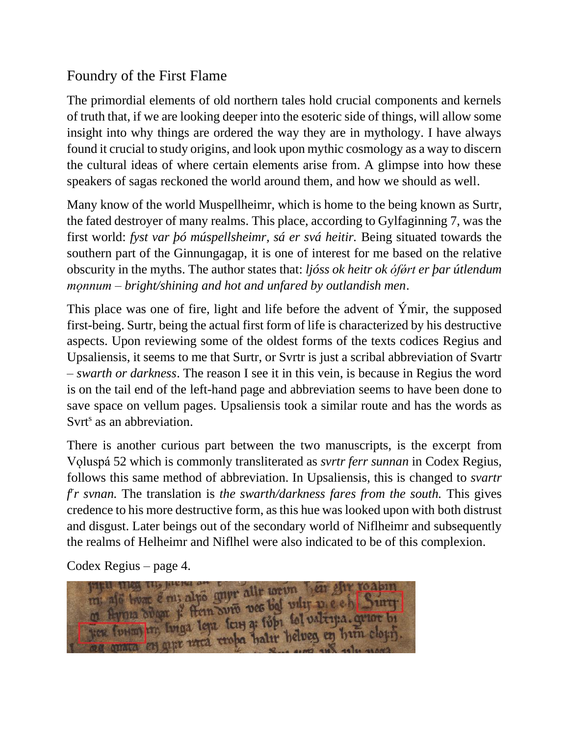## Foundry of the First Flame

The primordial elements of old northern tales hold crucial components and kernels of truth that, if we are looking deeper into the esoteric side of things, will allow some insight into why things are ordered the way they are in mythology. I have always found it crucial to study origins, and look upon mythic cosmology as a way to discern the cultural ideas of where certain elements arise from. A glimpse into how these speakers of sagas reckoned the world around them, and how we should as well.

Many know of the world Muspellheimr, which is home to the being known as Surtr, the fated destroyer of many realms. This place, according to Gylfaginning 7, was the first world: *fyst var þó múspellsheimr, sá er svá heitir.* Being situated towards the southern part of the Ginnungagap, it is one of interest for me based on the relative obscurity in the myths. The author states that: *ljóss ok heitr ok ófǿrt er þar útlendum mǫnnum – bright/shining and hot and unfared by outlandish men*.

This place was one of fire, light and life before the advent of Ýmir, the supposed first-being. Surtr, being the actual first form of life is characterized by his destructive aspects. Upon reviewing some of the oldest forms of the texts codices Regius and Upsaliensis, it seems to me that Surtr, or Svrtr is just a scribal abbreviation of Svartr – *swarth or darkness*. The reason I see it in this vein, is because in Regius the word is on the tail end of the left-hand page and abbreviation seems to have been done to save space on vellum pages. Upsaliensis took a similar route and has the words as Svrt<sup>s</sup> as an abbreviation.

There is another curious part between the two manuscripts, is the excerpt from Vǫluspá 52 which is commonly transliterated as *svrtr ferr sunnan* in Codex Regius, follows this same method of abbreviation. In Upsaliensis, this is changed to *svartr f r r svnan.* The translation is *the swarth/darkness fares from the south.* This gives credence to his more destructive form, as this hue was looked upon with both distrust and disgust. Later beings out of the secondary world of Niflheimr and subsequently the realms of Helheimr and Niflhel were also indicated to be of this complexion.

Codex Regius – page 4.

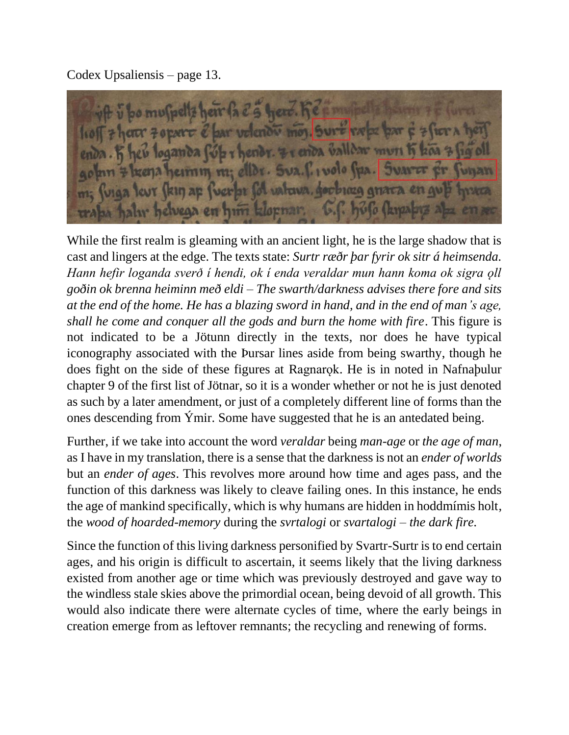Codex Upsaliensis – page 13.

bo muspells herr fa & s herr. Ke sm crer 7 oper & bar volondi mo, sure rape par & ieu loganda fól i hendr. Er enda valldar mun h lizena heimin m; ellor. Sva. l. i volo spa. Svarce m; fuiga leur fkin ap fuerbi fol valuva, goobias grava en gu hy helvega en him klopnar, 1.

While the first realm is gleaming with an ancient light, he is the large shadow that is cast and lingers at the edge. The texts state: *Surtr ræðr þar fyrir ok sitr á heimsenda. Hann hefir loganda sverð í hendi, ok í enda veraldar mun hann koma ok sigra ǫll goðin ok brenna heiminn með eldi – The swarth/darkness advises there fore and sits at the end of the home. He has a blazing sword in hand, and in the end of man's age, shall he come and conquer all the gods and burn the home with fire*. This figure is not indicated to be a Jötunn directly in the texts, nor does he have typical iconography associated with the Þursar lines aside from being swarthy, though he does fight on the side of these figures at Ragnarok. He is in noted in Nafnabulur chapter 9 of the first list of Jötnar, so it is a wonder whether or not he is just denoted as such by a later amendment, or just of a completely different line of forms than the ones descending from Ýmir. Some have suggested that he is an antedated being.

Further, if we take into account the word *veraldar* being *man-age* or *the age of man*, as I have in my translation, there is a sense that the darkness is not an *ender of worlds* but an *ender of ages*. This revolves more around how time and ages pass, and the function of this darkness was likely to cleave failing ones. In this instance, he ends the age of mankind specifically, which is why humans are hidden in hoddmímis holt, the *wood of hoarded-memory* during the *svrtalogi* or *svartalogi – the dark fire.*

Since the function of this living darkness personified by Svartr-Surtr is to end certain ages, and his origin is difficult to ascertain, it seems likely that the living darkness existed from another age or time which was previously destroyed and gave way to the windless stale skies above the primordial ocean, being devoid of all growth. This would also indicate there were alternate cycles of time, where the early beings in creation emerge from as leftover remnants; the recycling and renewing of forms.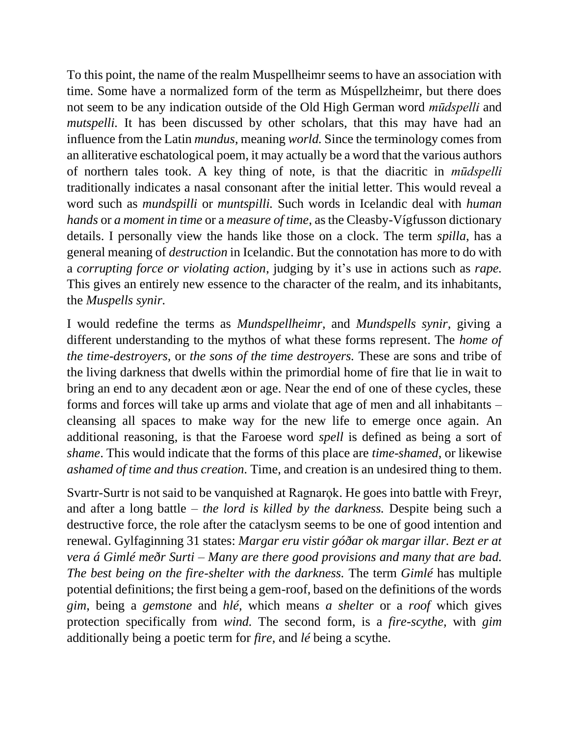To this point, the name of the realm Muspellheimr seems to have an association with time. Some have a normalized form of the term as Múspellzheimr, but there does not seem to be any indication outside of the Old High German word *mūdspelli* and *mutspelli*. It has been discussed by other scholars, that this may have had an influence from the Latin *mundus*, meaning *world.* Since the terminology comes from an alliterative eschatological poem, it may actually be a word that the various authors of northern tales took. A key thing of note, is that the diacritic in *mūdspelli* traditionally indicates a nasal consonant after the initial letter. This would reveal a word such as *mundspilli* or *muntspilli.* Such words in Icelandic deal with *human hands* or *a moment in time* or a *measure of time*, as the Cleasby-Vígfusson dictionary details. I personally view the hands like those on a clock. The term *spilla*, has a general meaning of *destruction* in Icelandic. But the connotation has more to do with a *corrupting force or violating action*, judging by it's use in actions such as *rape.* This gives an entirely new essence to the character of the realm, and its inhabitants, the *Muspells synir.* 

I would redefine the terms as *Mundspellheimr,* and *Mundspells synir,* giving a different understanding to the mythos of what these forms represent. The *home of the time-destroyers,* or *the sons of the time destroyers.* These are sons and tribe of the living darkness that dwells within the primordial home of fire that lie in wait to bring an end to any decadent æon or age. Near the end of one of these cycles, these forms and forces will take up arms and violate that age of men and all inhabitants – cleansing all spaces to make way for the new life to emerge once again. An additional reasoning, is that the Faroese word *spell* is defined as being a sort of *shame*. This would indicate that the forms of this place are *time-shamed*, or likewise *ashamed of time and thus creation.* Time, and creation is an undesired thing to them.

Svartr-Surtr is not said to be vanquished at Ragnarok. He goes into battle with Freyr, and after a long battle – *the lord is killed by the darkness.* Despite being such a destructive force, the role after the cataclysm seems to be one of good intention and renewal. Gylfaginning 31 states: *Margar eru vistir góðar ok margar illar. Bezt er at vera á Gimlé meðr Surti* – *Many are there good provisions and many that are bad. The best being on the fire-shelter with the darkness.* The term *Gimlé* has multiple potential definitions; the first being a gem-roof, based on the definitions of the words *gim*, being a *gemstone* and *hlé,* which means *a shelter* or a *roof* which gives protection specifically from *wind.* The second form, is a *fire-scythe,* with *gim*  additionally being a poetic term for *fire*, and *lé* being a scythe.